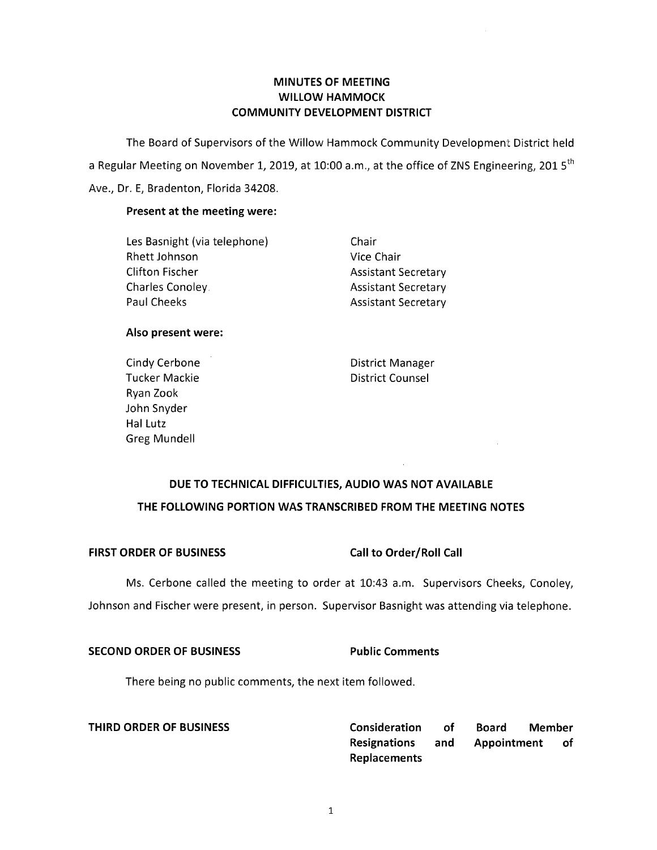### **MINUTES OF MEETING WILLOW HAMMOCK COMMUNITY DEVELOPMENT DISTRICT**

The Board of Supervisors of the Willow Hammock Community Development District held a Regular Meeting on November 1, 2019, at 10:00 a.m., at the office of ZNS Engineering, 2015<sup>th</sup> Ave., Dr. E, Bradenton, Florida 34208.

#### **Present at the meeting were:**

Les Basnight (via telephone) Chair Rhett Johnson Vice Chair Clifton Fischer **Assistant Secretary** Charles Conoley. **Assistant Secretary** Paul Cheeks **Assistant Secretary** 

#### **Also present were:**

Cindy Cerbone **District Manager** Tucker Mackie **District Counsel** Ryan Zook John Snyder Hal Lutz Greg Mundell

## **DUE TO TECHNICAL DIFFICULTIES, AUDIO WAS NOT AVAILABLE THE FOLLOWING PORTION WAS TRANSCRIBED FROM THE MEETING NOTES**

### FIRST ORDER OF BUSINESS Call to Order/Roll Call

Ms. Cerbone called the meeting to order at 10:43 a.m. Supervisors Cheeks, Conoley, Johnson and Fischer were present, in person. Supervisor Basnight was attending via telephone.

#### **SECOND ORDER OF BUSINESS Public Comments**

There being no public comments, the next item followed.

**THIRD ORDER OF BUSINESS Consideration of Board Member Resignations and Appointment of Replacements**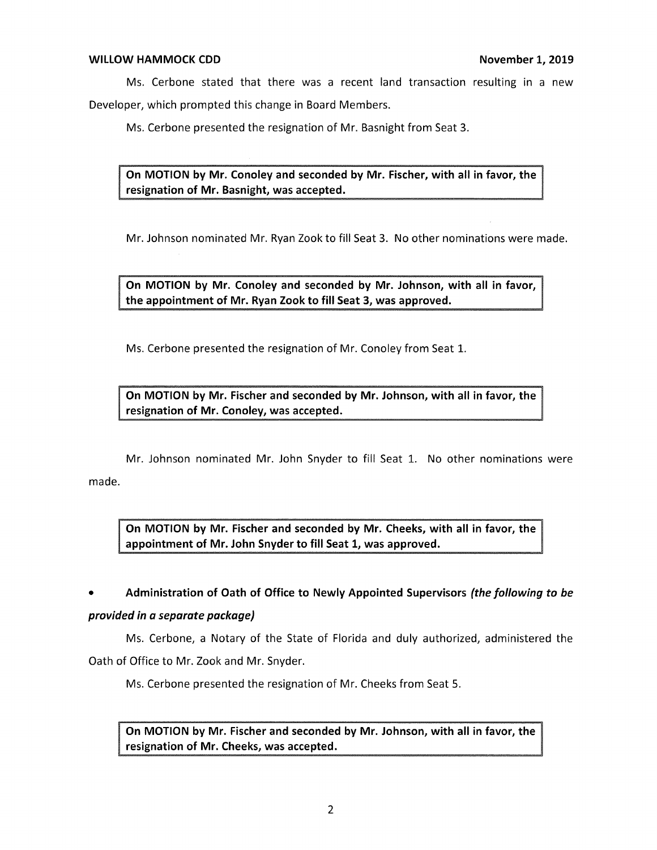Ms. Cerbone stated that there was a recent land transaction resulting in a new Developer, which prompted this change in Board Members.

Ms. Cerbone presented the resignation of Mr. Basnight from Seat 3.

**On MOTION by Mr. Conoley and seconded by Mr. Fischer, with all in favor, the resignation of Mr. Basnight, was accepted.** 

Mr. Johnson nominated Mr. Ryan Zook to fill Seat 3. No other nominations were made.

**On MOTION by Mr. Conoley and seconded by Mr. Johnson, with all in favor, the appointment of Mr. Ryan Zook to fill Seat 3, was approved.** 

Ms. Cerbone presented the resignation of Mr. Conoley from Seat 1.

**On MOTION by Mr. Fischer and seconded by Mr. Johnson, with all in favor, the resignation of Mr. Conoley, was accepted.** 

Mr. Johnson nominated Mr. John Snyder to fill Seat 1. No other nominations were

made.

**On MOTION by Mr. Fischer and seconded by Mr. Cheeks, with all in favor, the appointment of Mr. John Snyder to fill Seat 1, was approved.** 

# • **Administration of Oath of Office to Newly Appointed Supervisors** *(the following to be*

### *provided in a separate package)*

Ms. Cerbone, a Notary of the State of Florida and duly authorized, administered the Oath of Office to Mr. Zook and Mr. Snyder.

Ms. Cerbone presented the resignation of Mr. Cheeks from Seat 5.

resignation of Mr. Cheeks, was accepted. On MOTION by Mr. Fischer and seconded by Mr. Johnson, with all in favor, the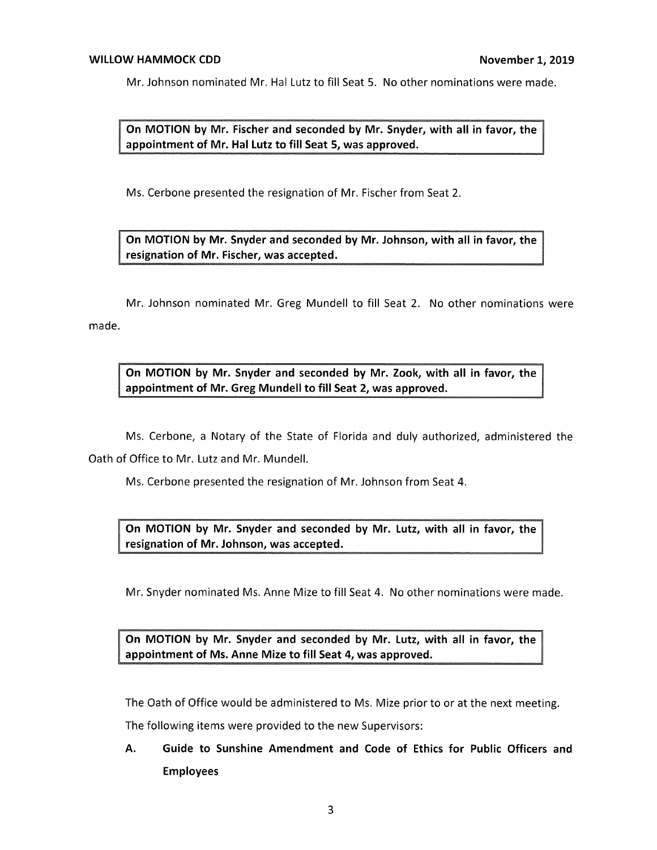Mr. Johnson nominated Mr. Hal Lutz to fill Seat 5. No other nominations were made.

**MOTION by Mr. Fischer and seconded by Mr. Snyder, with all in favor, the ointment of Mr. Hal Lutz to fill Seat 5, was approved.** 

Ms. Cerbone presented the resignation of Mr. Fischer from Seat 2.

**On MOTION by Mr. Snyder and seconded by Mr. Johnson, with all in favor, the resignation of Mr. Fischer, was accepted.** 

Mr. Johnson nominated Mr. Greg Mundell to fill Seat 2. No other nominations were made.

**On MOTION by Mr. Snyder and seconded by Mr. Zook, with all in favor, the appointment of Mr. Greg Mundell to fill Seat 2, was approved.** 

Ms. Cerbone, a Notary of the State of Florida and duly authorized, administered the Oath of Office to Mr. Lutz and Mr. Mundell.

Ms. Cerbone presented the resignation of Mr. Johnson from Seat 4.

**On MOTION by Mr. Snyder and seconded by Mr. Lutz, with all in favor, the resignation of Mr. Johnson, was accepted.** 

Mr. Snyder nominated Ms. Anne Mize to fill Seat 4. No other nominations were made.

On MOTION by Mr. Snyder and seconded by Mr. Lutz, with all in favor, the **t of Ms. Anne Mize to fill Seat 4, was approved.** 

The Oath of Office would be administered to Ms. Mize prior to or at the next meeting.

The following items were provided to the new Supervisors:

**A. Guide to Sunshine Amendment and Code of Ethics for Public Officers and Employees**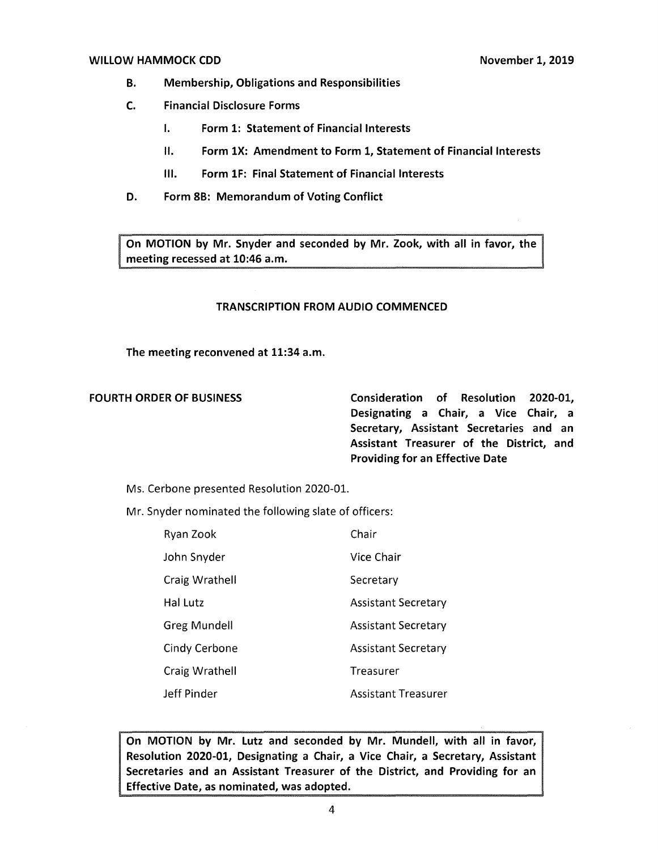#### **WILLOW HAMMOCK CDD November 1, 2019**

- **B. Membership, Obligations and Responsibilities**
- **C. Financial Disclosure Forms** 
	- I. **Form 1: Statement of Financial Interests**
	- II. **Form lX: Amendment to Form 1, Statement of Financial Interests**
	- Ill. **Form lF: Final Statement of Financial Interests**
- **D. Form 8B: Memorandum of Voting Conflict**

**On MOTION by Mr. Snyder and seconded by Mr. Zook, with all in favor, the meeting recessed at 10:46 a.m.** 

#### **TRANSCRIPTION FROM AUDIO COMMENCED**

**The meeting reconvened at 11:34 a.m.** 

**FOURTH ORDER OF BUSINESS Consideration of Resolution 2020-01, Designating a Chair, a Vice Chair, a Secretary, Assistant Secretaries and an Assistant Treasurer of the District, and Providing for an Effective Date** 

Ms. Cerbone presented Resolution 2020-01.

Mr. Snyder nominated the following slate of officers:

| Ryan Zook      | Chair                      |
|----------------|----------------------------|
| John Snyder    | Vice Chair                 |
| Craig Wrathell | Secretary                  |
| Hal Lutz       | <b>Assistant Secretary</b> |
| Greg Mundell   | <b>Assistant Secretary</b> |
| Cindy Cerbone  | <b>Assistant Secretary</b> |
| Craig Wrathell | Treasurer                  |
| Jeff Pinder    | <b>Assistant Treasurer</b> |

**On MOTION by Mr. Lutz and seconded by Mr. Mundell, with all in favor, Resolution 2020-01, Designating a Chair, a Vice Chair, a Secretary, Assistant Secretaries and an Assistant Treasurer of the District, and Providing for an Effective Date, as nominated, was adopted.**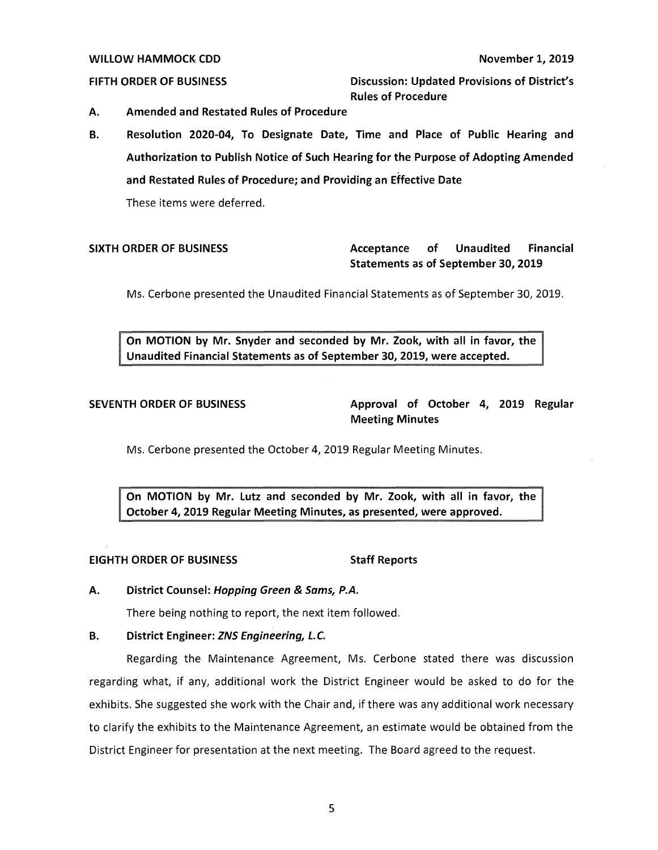#### **WILLOW HAMMOCK CDD November 1, 2019**

**FIFTH ORDER OF BUSINESS Discussion: Updated Provisions of District's Rules of Procedure** 

- **A. Amended and Restated Rules of Procedure**
- **B. Resolution 2020-04, To Designate Date, Time and Place of Public Hearing and Authorization to Publish Notice of Such Hearing for the Purpose of Adopting Amended and Restated Rules of Procedure; and Providing an Effective Date**  These items were deferred.

### **SIXTH ORDER OF BUSINESS Acceptance of Unaudited Financial Statements as of September 30, 2019**

Ms. Cerbone presented the Unaudited Financial Statements as of September 30, 2019.

**On MOTION by Mr. Snyder and seconded by Mr. Zook, with all in favor, the Unaudited Financial Statements as of September 30, 2019, were accepted.** 

SEVENTH ORDER OF BUSINESS Approval of October 4, 2019 Regular **Meeting Minutes** 

Ms. Cerbone presented the October 4, 2019 Regular Meeting Minutes.

**by Mr. Lutz and seconded by Mr. Zook, with all in favor, the October 4, 2019 Regular Meeting Minutes, as presented, were approved.** 

#### **EIGHTH ORDER OF BUSINESS STATES STAFF Reports**

**A. District Counsel: Hopping Green** & **Sams, P.A.** 

There being nothing to report, the next item followed.

### **B. District Engineer: ZNS Engineering, L.C.**

Regarding the Maintenance Agreement, Ms. Cerbone stated there was discussion regarding what, if any, additional work the District Engineer would be asked to do for the exhibits. She suggested she work with the Chair and, if there was any additional work necessary to clarify the exhibits to the Maintenance Agreement, an estimate would be obtained from the District Engineer for presentation at the next meeting. The Board agreed to the request.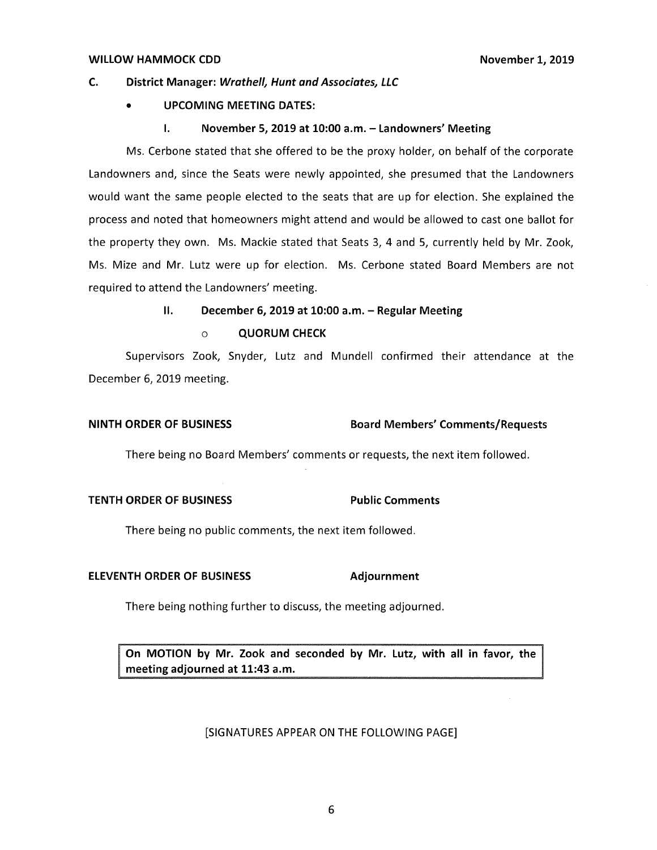#### **C. District Manager: Wrathe/1, Hunt and Associates, LLC**

#### • **UPCOMING MEETING DATES:**

#### **I. November 5, 2019 at 10:00 a.m. - Landowners' Meeting**

Ms. Cerbone stated that she offered to be the proxy holder, on behalf of the corporate Landowners and, since the Seats were newly appointed, she presumed that the Landowners would want the same people elected to the seats that are up for election. She explained the process and noted that homeowners might attend and would be allowed to cast one ballot for the property they own. Ms. Mackie stated that Seats 3, 4 and 5, currently held by Mr. Zook, Ms. Mize and Mr. Lutz were up for election. Ms. Cerbone stated Board Members are not required to attend the Landowners' meeting.

#### II. **December 6, 2019 at 10:00 a.m. - Regular Meeting**

o **QUORUM CHECK** 

Supervisors Zook, Snyder, Lutz and Mundell confirmed their attendance at the December 6, 2019 meeting.

#### **NINTH ORDER OF BUSINESS Board Members' Comments/Requests**

There being no Board Members' comments or requests, the next item followed.

### **TENTH ORDER OF BUSINESS FOR Public Comments**

There being no public comments, the next item followed.

#### **ELEVENTH ORDER OF BUSINESS Adjournment**

There being nothing further to discuss, the meeting adjourned.

On MOTION by Mr. Zook and seconded by Mr. Lutz, with all in favor, the meeting adjourned at 11:43 a.m.

#### [SIGNATURES APPEAR ON THE FOLLOWING PAGE]